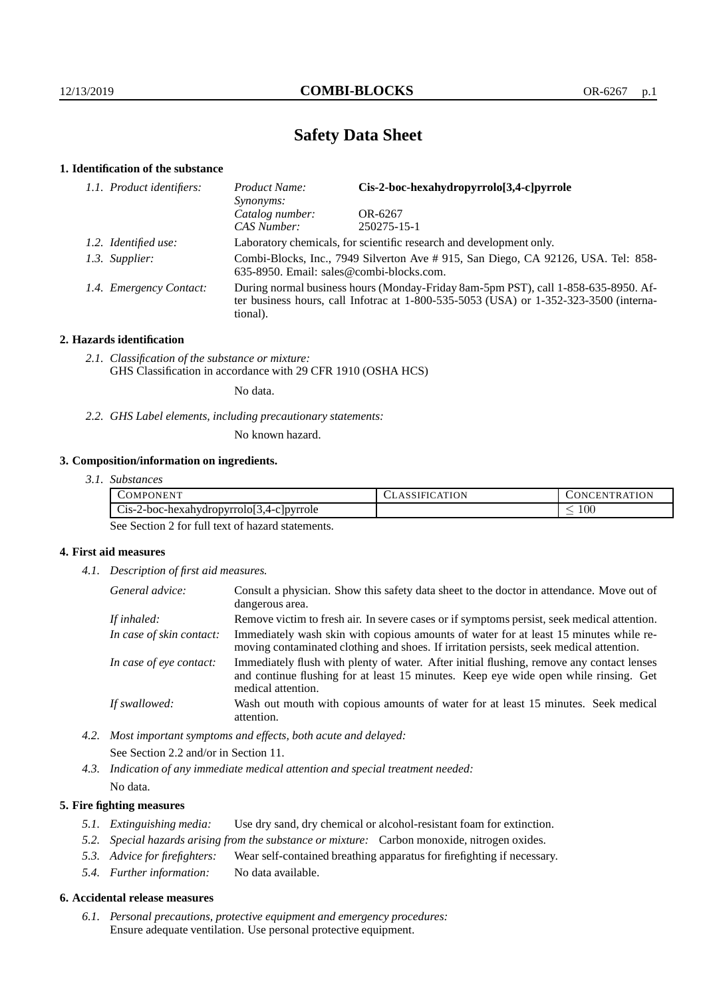# **Safety Data Sheet**

# **1. Identification of the substance**

| 1.1. Product identifiers: | Cis-2-boc-hexahydropyrrolo[3,4-c]pyrrole<br>Product Name:<br>Synonyms:                                                                                                                  |             |  |
|---------------------------|-----------------------------------------------------------------------------------------------------------------------------------------------------------------------------------------|-------------|--|
| Catalog number:           |                                                                                                                                                                                         | OR-6267     |  |
|                           | CAS Number:                                                                                                                                                                             | 250275-15-1 |  |
| 1.2. Identified use:      | Laboratory chemicals, for scientific research and development only.                                                                                                                     |             |  |
| 1.3. Supplier:            | Combi-Blocks, Inc., 7949 Silverton Ave #915, San Diego, CA 92126, USA. Tel: 858-<br>635-8950. Email: sales@combi-blocks.com.                                                            |             |  |
| 1.4. Emergency Contact:   | During normal business hours (Monday-Friday 8am-5pm PST), call 1-858-635-8950. Af-<br>ter business hours, call Infotrac at 1-800-535-5053 (USA) or 1-352-323-3500 (interna-<br>tional). |             |  |

# **2. Hazards identification**

*2.1. Classification of the substance or mixture:* GHS Classification in accordance with 29 CFR 1910 (OSHA HCS)

No data.

*2.2. GHS Label elements, including precautionary statements:*

No known hazard.

# **3. Composition/information on ingredients.**

| 3.1. Substances |  |
|-----------------|--|
|                 |  |

| $\sim$ OMP $\sim$<br>ONENT                                              | <b>ATION</b><br>`А`I | <b>ITRATION</b><br>.EN<br>IN L |
|-------------------------------------------------------------------------|----------------------|--------------------------------|
| $\sim$<br>$\sqrt{2}$<br>c-hexahydropyrrolo 3,4-c pyrrole<br>$C1S-Z-DOC$ |                      | $100\,$                        |

See Section 2 for full text of hazard statements.

# **4. First aid measures**

*4.1. Description of first aid measures.*

| General advice:          | Consult a physician. Show this safety data sheet to the doctor in attendance. Move out of<br>dangerous area.                                                                                            |  |
|--------------------------|---------------------------------------------------------------------------------------------------------------------------------------------------------------------------------------------------------|--|
| If inhaled:              | Remove victim to fresh air. In severe cases or if symptoms persist, seek medical attention.                                                                                                             |  |
| In case of skin contact: | Immediately wash skin with copious amounts of water for at least 15 minutes while re-<br>moving contaminated clothing and shoes. If irritation persists, seek medical attention.                        |  |
| In case of eye contact:  | Immediately flush with plenty of water. After initial flushing, remove any contact lenses<br>and continue flushing for at least 15 minutes. Keep eye wide open while rinsing. Get<br>medical attention. |  |
| If swallowed:            | Wash out mouth with copious amounts of water for at least 15 minutes. Seek medical<br>attention.                                                                                                        |  |

*4.2. Most important symptoms and effects, both acute and delayed:* See Section 2.2 and/or in Section 11.

*4.3. Indication of any immediate medical attention and special treatment needed:* No data.

# **5. Fire fighting measures**

- *5.1. Extinguishing media:* Use dry sand, dry chemical or alcohol-resistant foam for extinction.
- *5.2. Special hazards arising from the substance or mixture:* Carbon monoxide, nitrogen oxides.
- *5.3. Advice for firefighters:* Wear self-contained breathing apparatus for firefighting if necessary.
- *5.4. Further information:* No data available.

## **6. Accidental release measures**

*6.1. Personal precautions, protective equipment and emergency procedures:* Ensure adequate ventilation. Use personal protective equipment.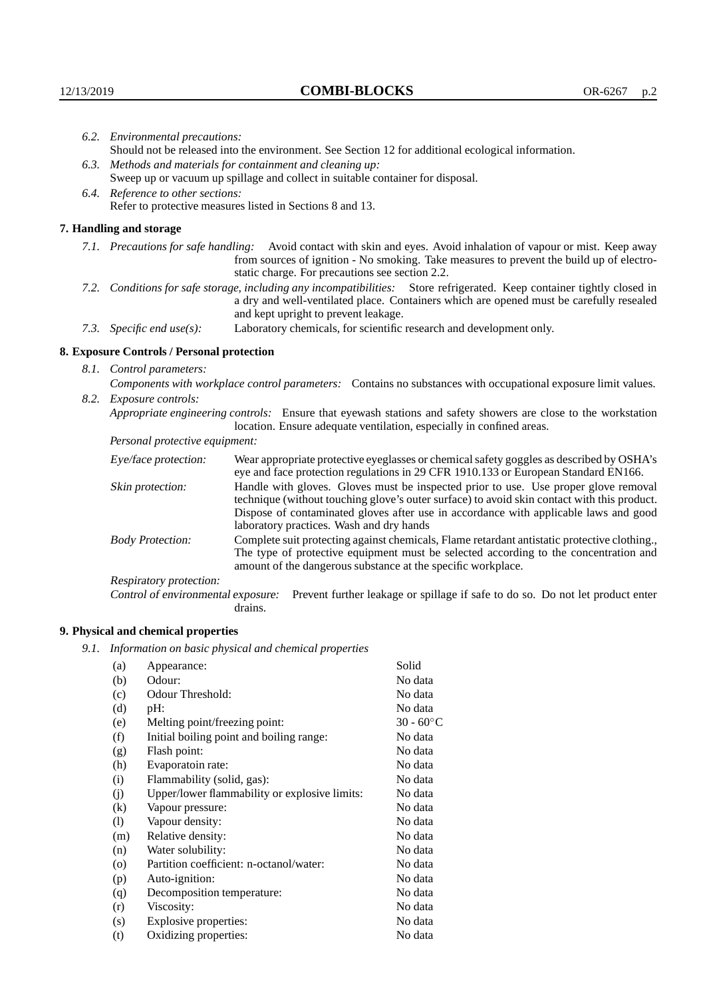| 6.2. Environmental precautions:                                                                                                                                                                                                                            |                                                                                                                                                                                                                                                                    |  |  |  |
|------------------------------------------------------------------------------------------------------------------------------------------------------------------------------------------------------------------------------------------------------------|--------------------------------------------------------------------------------------------------------------------------------------------------------------------------------------------------------------------------------------------------------------------|--|--|--|
|                                                                                                                                                                                                                                                            | Should not be released into the environment. See Section 12 for additional ecological information.                                                                                                                                                                 |  |  |  |
|                                                                                                                                                                                                                                                            | 6.3. Methods and materials for containment and cleaning up:                                                                                                                                                                                                        |  |  |  |
| Sweep up or vacuum up spillage and collect in suitable container for disposal.                                                                                                                                                                             |                                                                                                                                                                                                                                                                    |  |  |  |
| 6.4. Reference to other sections:                                                                                                                                                                                                                          |                                                                                                                                                                                                                                                                    |  |  |  |
| Refer to protective measures listed in Sections 8 and 13.                                                                                                                                                                                                  |                                                                                                                                                                                                                                                                    |  |  |  |
| 7. Handling and storage                                                                                                                                                                                                                                    |                                                                                                                                                                                                                                                                    |  |  |  |
|                                                                                                                                                                                                                                                            | 7.1. Precautions for safe handling: Avoid contact with skin and eyes. Avoid inhalation of vapour or mist. Keep away<br>from sources of ignition - No smoking. Take measures to prevent the build up of electro-<br>static charge. For precautions see section 2.2. |  |  |  |
| 7.2. Conditions for safe storage, including any incompatibilities: Store refrigerated. Keep container tightly closed in<br>a dry and well-ventilated place. Containers which are opened must be carefully resealed<br>and kept upright to prevent leakage. |                                                                                                                                                                                                                                                                    |  |  |  |
| 7.3. Specific end use(s):                                                                                                                                                                                                                                  | Laboratory chemicals, for scientific research and development only.                                                                                                                                                                                                |  |  |  |
| 8. Exposure Controls / Personal protection                                                                                                                                                                                                                 |                                                                                                                                                                                                                                                                    |  |  |  |
| 8.1. Control parameters:                                                                                                                                                                                                                                   |                                                                                                                                                                                                                                                                    |  |  |  |
|                                                                                                                                                                                                                                                            | Components with workplace control parameters: Contains no substances with occupational exposure limit values.                                                                                                                                                      |  |  |  |
| 8.2. Exposure controls:                                                                                                                                                                                                                                    |                                                                                                                                                                                                                                                                    |  |  |  |
| Appropriate engineering controls: Ensure that eyewash stations and safety showers are close to the workstation<br>location. Ensure adequate ventilation, especially in confined areas.                                                                     |                                                                                                                                                                                                                                                                    |  |  |  |
| Personal protective equipment:                                                                                                                                                                                                                             |                                                                                                                                                                                                                                                                    |  |  |  |
| Eye/face protection:                                                                                                                                                                                                                                       | Wear appropriate protective eyeglasses or chemical safety goggles as described by OSHA's<br>eye and face protection regulations in 29 CFR 1910.133 or European Standard EN166.                                                                                     |  |  |  |
| Skin protection:                                                                                                                                                                                                                                           | Handle with gloves. Gloves must be inspected prior to use. Use proper glove removal<br>technique (without touching glove's outer surface) to avoid skin contact with this product                                                                                  |  |  |  |

| Eye/face protection:               | Wear appropriate protective eyeglasses or chemical safety goggles as described by OSHA's<br>eye and face protection regulations in 29 CFR 1910.133 or European Standard EN166.                                                                                                                                         |  |  |
|------------------------------------|------------------------------------------------------------------------------------------------------------------------------------------------------------------------------------------------------------------------------------------------------------------------------------------------------------------------|--|--|
| Skin protection:                   | Handle with gloves. Gloves must be inspected prior to use. Use proper glove removal<br>technique (without touching glove's outer surface) to avoid skin contact with this product.<br>Dispose of contaminated gloves after use in accordance with applicable laws and good<br>laboratory practices. Wash and dry hands |  |  |
| <b>Body Protection:</b>            | Complete suit protecting against chemicals, Flame retardant antistatic protective clothing.<br>The type of protective equipment must be selected according to the concentration and<br>amount of the dangerous substance at the specific workplace.                                                                    |  |  |
| Respiratory protection:            |                                                                                                                                                                                                                                                                                                                        |  |  |
| Control of environmental exposure: | Prevent further leakage or spillage if safe to do so. Do not let product enter<br>drains.                                                                                                                                                                                                                              |  |  |

# **9. Physical and chemical properties**

*9.1. Information on basic physical and chemical properties*

| (a)                | Appearance:                                   | Solid               |
|--------------------|-----------------------------------------------|---------------------|
| (b)                | Odour:                                        | No data             |
| (c)                | Odour Threshold:                              | No data             |
| (d)                | pH:                                           | No data             |
| (e)                | Melting point/freezing point:                 | $30 - 60^{\circ}$ C |
| (f)                | Initial boiling point and boiling range:      | No data             |
| (g)                | Flash point:                                  | No data             |
| (h)                | Evaporatoin rate:                             | No data             |
| (i)                | Flammability (solid, gas):                    | No data             |
| (j)                | Upper/lower flammability or explosive limits: | No data             |
| (k)                | Vapour pressure:                              | No data             |
| (1)                | Vapour density:                               | No data             |
| (m)                | Relative density:                             | No data             |
| (n)                | Water solubility:                             | No data             |
| $\left( 0 \right)$ | Partition coefficient: n-octanol/water:       | No data             |
| (p)                | Auto-ignition:                                | No data             |
| (q)                | Decomposition temperature:                    | No data             |
| (r)                | Viscosity:                                    | No data             |
| (s)                | Explosive properties:                         | No data             |
| (t)                | Oxidizing properties:                         | No data             |
|                    |                                               |                     |